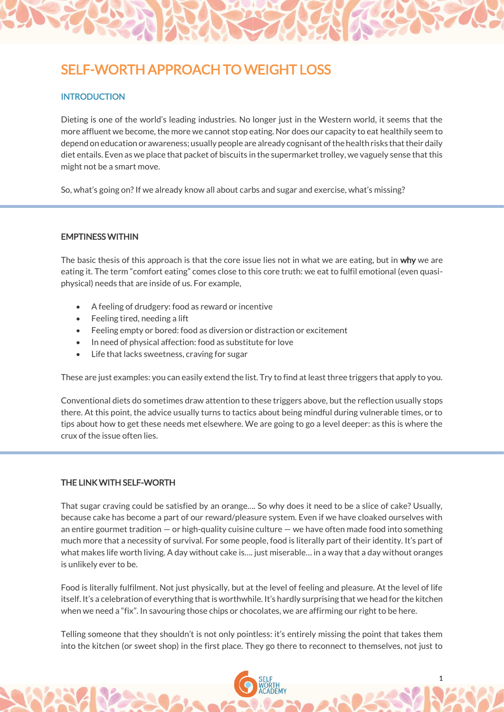# SELF-WORTH APPROACH TO WEIGHT LOSS

### **INTRODUCTION**

Dieting is one of the world's leading industries. No longer just in the Western world, it seems that the more affluent we become, the more we cannot stop eating. Nor does our capacity to eat healthily seem to depend on education or awareness; usually people are already cognisant of the health risks that their daily diet entails. Even as we place that packet of biscuits in the supermarket trolley, we vaguely sense that this might not be a smart move.

So, what's going on? If we already know all about carbs and sugar and exercise, what's missing?

#### EMPTINESS WITHIN

The basic thesis of this approach is that the core issue lies not in what we are eating, but in why we are eating it. The term "comfort eating" comes close to this core truth: we eat to fulfil emotional (even quasiphysical) needs that are inside of us. For example,

- A feeling of drudgery: food as reward or incentive
- Feeling tired, needing a lift
- Feeling empty or bored: food as diversion or distraction or excitement
- In need of physical affection: food as substitute for love
- Life that lacks sweetness, craving for sugar

These are just examples: you can easily extend the list. Try to find at least three triggers that apply to you.

Conventional diets do sometimes draw attention to these triggers above, but the reflection usually stops there. At this point, the advice usually turns to tactics about being mindful during vulnerable times, or to tips about how to get these needs met elsewhere. We are going to go a level deeper: as this is where the crux of the issue often lies.

#### THE LINK WITH SELF-WORTH

That sugar craving could be satisfied by an orange…. So why does it need to be a slice of cake? Usually, because cake has become a part of our reward/pleasure system. Even if we have cloaked ourselves with an entire gourmet tradition — or high-quality cuisine culture — we have often made food into something much more that a necessity of survival. For some people, food is literally part of their identity. It's part of what makes life worth living. A day without cake is…. just miserable… in a way that a day without oranges is unlikely ever to be.

Food is literally fulfilment. Not just physically, but at the level of feeling and pleasure. At the level of life itself. It's a celebration of everything that is worthwhile. It's hardly surprising that we head for the kitchen when we need a "fix". In savouring those chips or chocolates, we are affirming our right to be here.

Telling someone that they shouldn't is not only pointless: it's entirely missing the point that takes them into the kitchen (or sweet shop) in the first place. They go there to reconnect to themselves, not just to

1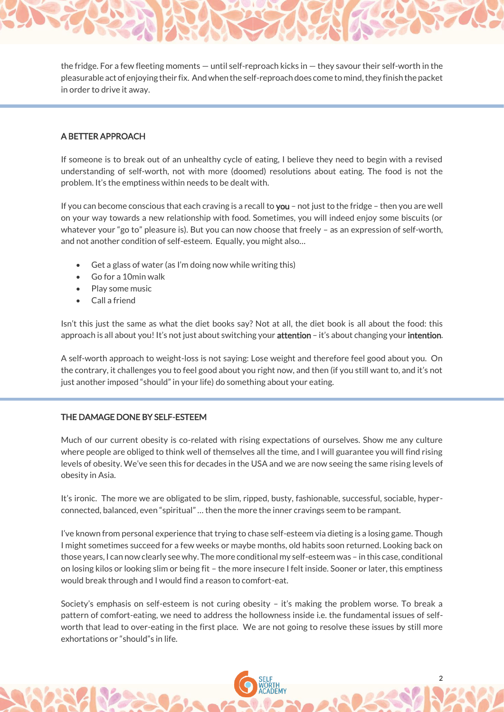the fridge. For a few fleeting moments — until self-reproach kicks in — they savour their self-worth in the pleasurable act of enjoying their fix. And when the self-reproach does come to mind, they finish the packet in order to drive it away.

# A BETTER APPROACH

If someone is to break out of an unhealthy cycle of eating, I believe they need to begin with a revised understanding of self-worth, not with more (doomed) resolutions about eating. The food is not the problem. It's the emptiness within needs to be dealt with.

If you can become conscious that each craving is a recall to you – not just to the fridge – then you are well on your way towards a new relationship with food. Sometimes, you will indeed enjoy some biscuits (or whatever your "go to" pleasure is). But you can now choose that freely – as an expression of self-worth, and not another condition of self-esteem. Equally, you might also…

- Get a glass of water (as I'm doing now while writing this)
- Go for a 10min walk
- Play some music
- Call a friend

Isn't this just the same as what the diet books say? Not at all, the diet book is all about the food: this approach is all about you! It's not just about switching your attention – it's about changing your intention.

A self-worth approach to weight-loss is not saying: Lose weight and therefore feel good about you. On the contrary, it challenges you to feel good about you right now, and then (if you still want to, and it's not just another imposed "should" in your life) do something about your eating.

#### THE DAMAGE DONE BY SELF-ESTEEM

Much of our current obesity is co-related with rising expectations of ourselves. Show me any culture where people are obliged to think well of themselves all the time, and I will guarantee you will find rising levels of obesity. We've seen this for decades in the USA and we are now seeing the same rising levels of obesity in Asia.

It's ironic. The more we are obligated to be slim, ripped, busty, fashionable, successful, sociable, hyperconnected, balanced, even "spiritual" … then the more the inner cravings seem to be rampant.

I've known from personal experience that trying to chase self-esteem via dieting is a losing game. Though I might sometimes succeed for a few weeks or maybe months, old habits soon returned. Looking back on those years, I can now clearly see why. The more conditional my self-esteem was – in this case, conditional on losing kilos or looking slim or being fit – the more insecure I felt inside. Sooner or later, this emptiness would break through and I would find a reason to comfort-eat.

Society's emphasis on self-esteem is not curing obesity – it's making the problem worse. To break a pattern of comfort-eating, we need to address the hollowness inside i.e. the fundamental issues of selfworth that lead to over-eating in the first place. We are not going to resolve these issues by still more exhortations or "should"s in life.

2